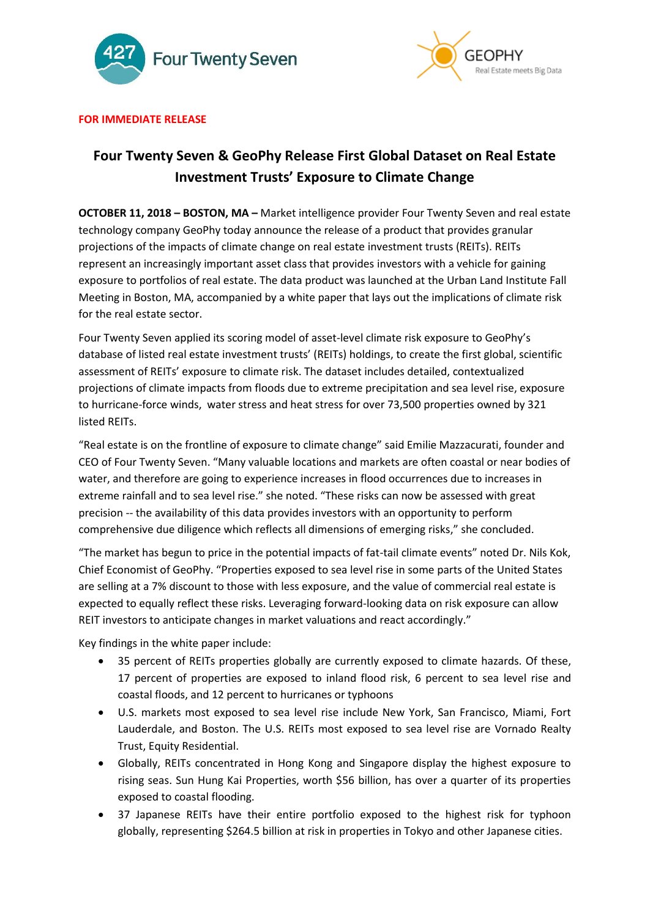



## **FOR IMMEDIATE RELEASE**

# **Four Twenty Seven & GeoPhy Release First Global Dataset on Real Estate Investment Trusts' Exposure to Climate Change**

**OCTOBER 11, 2018 – BOSTON, MA –** Market intelligence provider Four Twenty Seven and real estate technology company GeoPhy today announce the release of a product that provides granular projections of the impacts of climate change on real estate investment trusts (REITs). REITs represent an increasingly important asset class that provides investors with a vehicle for gaining exposure to portfolios of real estate. The data product was launched at the Urban Land Institute Fall Meeting in Boston, MA, accompanied by a white paper that lays out the implications of climate risk for the real estate sector.

Four Twenty Seven applied its scoring model of asset-level climate risk exposure to GeoPhy's database of listed real estate investment trusts' (REITs) holdings, to create the first global, scientific assessment of REITs' exposure to climate risk. The dataset includes detailed, contextualized projections of climate impacts from floods due to extreme precipitation and sea level rise, exposure to hurricane-force winds, water stress and heat stress for over 73,500 properties owned by 321 listed REITs.

"Real estate is on the frontline of exposure to climate change" said Emilie Mazzacurati, founder and CEO of Four Twenty Seven. "Many valuable locations and markets are often coastal or near bodies of water, and therefore are going to experience increases in flood occurrences due to increases in extreme rainfall and to sea level rise." she noted. "These risks can now be assessed with great precision -- the availability of this data provides investors with an opportunity to perform comprehensive due diligence which reflects all dimensions of emerging risks," she concluded.

"The market has begun to price in the potential impacts of fat-tail climate events" noted Dr. Nils Kok, Chief Economist of GeoPhy. "Properties exposed to sea level rise in some parts of the United States are selling at a 7% discount to those with less exposure, and the value of commercial real estate is expected to equally reflect these risks. Leveraging forward-looking data on risk exposure can allow REIT investors to anticipate changes in market valuations and react accordingly."

Key findings in the white paper include:

- 35 percent of REITs properties globally are currently exposed to climate hazards. Of these, 17 percent of properties are exposed to inland flood risk, 6 percent to sea level rise and coastal floods, and 12 percent to hurricanes or typhoons
- U.S. markets most exposed to sea level rise include New York, San Francisco, Miami, Fort Lauderdale, and Boston. The U.S. REITs most exposed to sea level rise are Vornado Realty Trust, Equity Residential.
- Globally, REITs concentrated in Hong Kong and Singapore display the highest exposure to rising seas. Sun Hung Kai Properties, worth \$56 billion, has over a quarter of its properties exposed to coastal flooding.
- 37 Japanese REITs have their entire portfolio exposed to the highest risk for typhoon globally, representing \$264.5 billion at risk in properties in Tokyo and other Japanese cities.